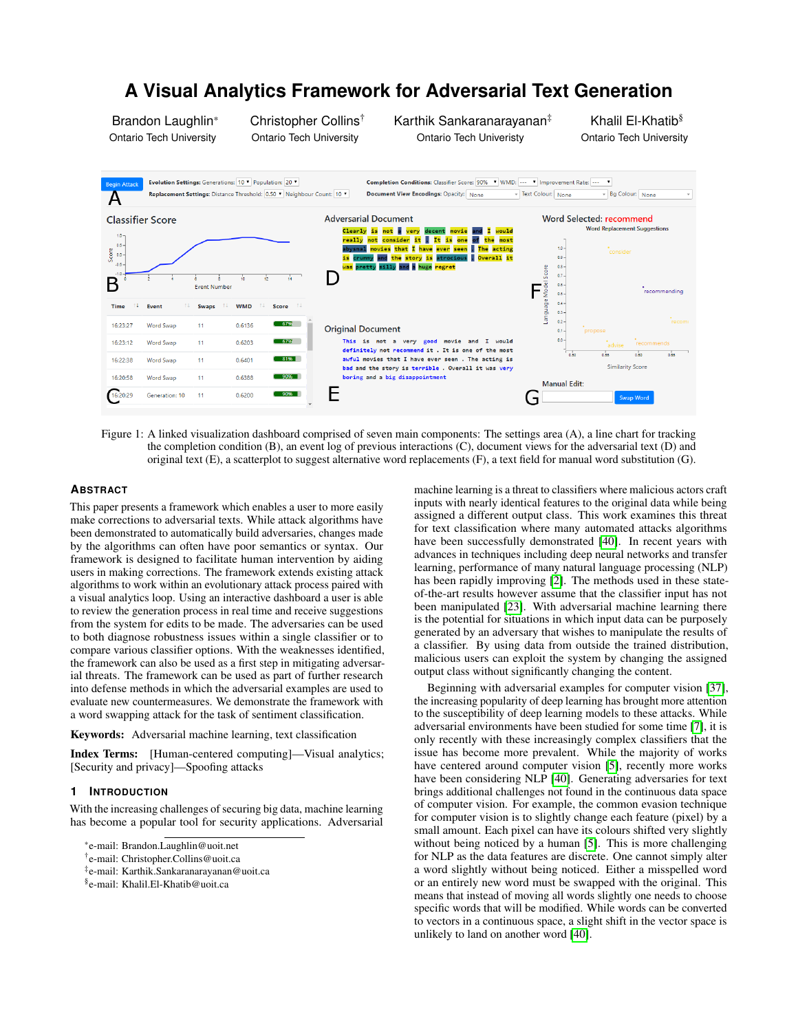# **A Visual Analytics Framework for Adversarial Text Generation**

Brandon Laughlin\* Ontario Tech University

Christopher Collins† Ontario Tech University

Karthik Sankaranarayanan‡ Ontario Tech Univeristy

Khalil El-Khatib§ Ontario Tech University



<span id="page-0-0"></span>Figure 1: A linked visualization dashboard comprised of seven main components: The settings area (A), a line chart for tracking the completion condition (B), an event log of previous interactions (C), document views for the adversarial text (D) and original text (E), a scatterplot to suggest alternative word replacements (F), a text field for manual word substitution (G).

# **ABSTRACT**

This paper presents a framework which enables a user to more easily make corrections to adversarial texts. While attack algorithms have been demonstrated to automatically build adversaries, changes made by the algorithms can often have poor semantics or syntax. Our framework is designed to facilitate human intervention by aiding users in making corrections. The framework extends existing attack algorithms to work within an evolutionary attack process paired with a visual analytics loop. Using an interactive dashboard a user is able to review the generation process in real time and receive suggestions from the system for edits to be made. The adversaries can be used to both diagnose robustness issues within a single classifier or to compare various classifier options. With the weaknesses identified, the framework can also be used as a first step in mitigating adversarial threats. The framework can be used as part of further research into defense methods in which the adversarial examples are used to evaluate new countermeasures. We demonstrate the framework with a word swapping attack for the task of sentiment classification.

Keywords: Adversarial machine learning, text classification

Index Terms: [Human-centered computing]—Visual analytics; [Security and privacy]—Spoofing attacks

## **1 INTRODUCTION**

With the increasing challenges of securing big data, machine learning has become a popular tool for security applications. Adversarial

\*e-mail: Brandon.Laughlin@uoit.net

† e-mail: Christopher.Collins@uoit.ca

- ‡ e-mail: Karthik.Sankaranarayanan@uoit.ca
- § e-mail: Khalil.El-Khatib@uoit.ca

machine learning is a threat to classifiers where malicious actors craft inputs with nearly identical features to the original data while being assigned a different output class. This work examines this threat for text classification where many automated attacks algorithms have been successfully demonstrated [\[40\]](#page-9-0). In recent years with advances in techniques including deep neural networks and transfer learning, performance of many natural language processing (NLP) has been rapidly improving [\[2\]](#page-9-1). The methods used in these stateof-the-art results however assume that the classifier input has not been manipulated [\[23\]](#page-9-2). With adversarial machine learning there is the potential for situations in which input data can be purposely generated by an adversary that wishes to manipulate the results of a classifier. By using data from outside the trained distribution, malicious users can exploit the system by changing the assigned output class without significantly changing the content.

Beginning with adversarial examples for computer vision [\[37\]](#page-9-3), the increasing popularity of deep learning has brought more attention to the susceptibility of deep learning models to these attacks. While adversarial environments have been studied for some time [\[7\]](#page-9-4), it is only recently with these increasingly complex classifiers that the issue has become more prevalent. While the majority of works have centered around computer vision [\[5\]](#page-9-5), recently more works have been considering NLP [\[40\]](#page-9-0). Generating adversaries for text brings additional challenges not found in the continuous data space of computer vision. For example, the common evasion technique for computer vision is to slightly change each feature (pixel) by a small amount. Each pixel can have its colours shifted very slightly without being noticed by a human [\[5\]](#page-9-5). This is more challenging for NLP as the data features are discrete. One cannot simply alter a word slightly without being noticed. Either a misspelled word or an entirely new word must be swapped with the original. This means that instead of moving all words slightly one needs to choose specific words that will be modified. While words can be converted to vectors in a continuous space, a slight shift in the vector space is unlikely to land on another word [\[40\]](#page-9-0).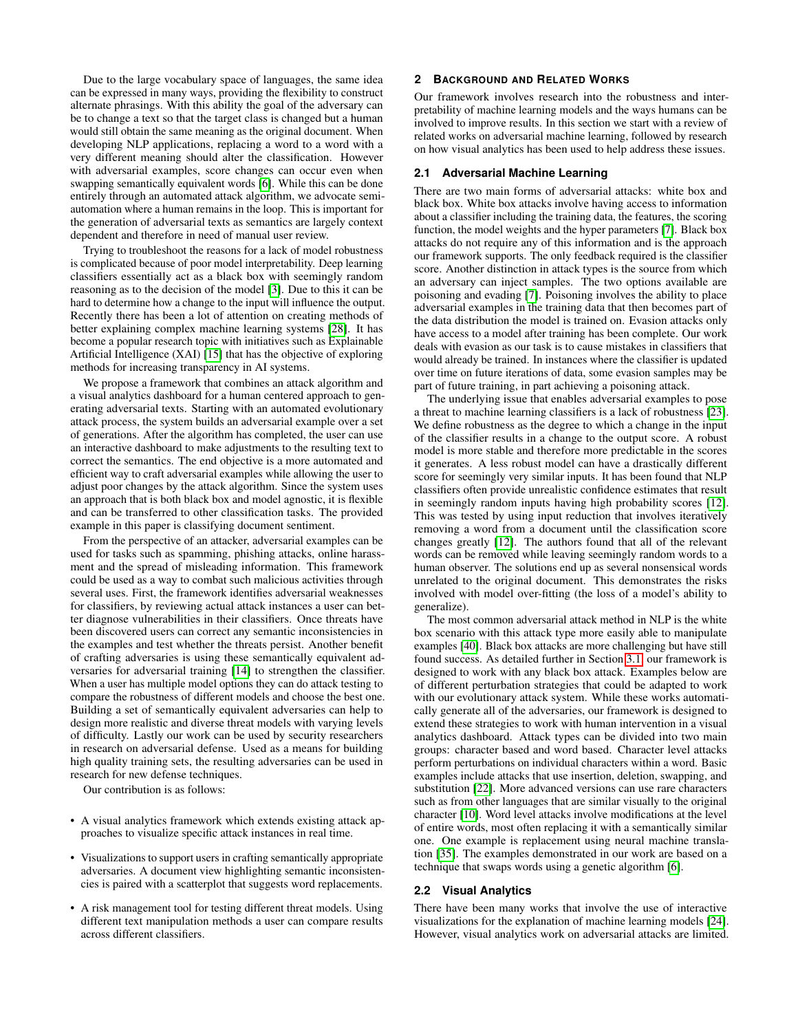Due to the large vocabulary space of languages, the same idea can be expressed in many ways, providing the flexibility to construct alternate phrasings. With this ability the goal of the adversary can be to change a text so that the target class is changed but a human would still obtain the same meaning as the original document. When developing NLP applications, replacing a word to a word with a very different meaning should alter the classification. However with adversarial examples, score changes can occur even when swapping semantically equivalent words [\[6\]](#page-9-6). While this can be done entirely through an automated attack algorithm, we advocate semiautomation where a human remains in the loop. This is important for the generation of adversarial texts as semantics are largely context dependent and therefore in need of manual user review.

Trying to troubleshoot the reasons for a lack of model robustness is complicated because of poor model interpretability. Deep learning classifiers essentially act as a black box with seemingly random reasoning as to the decision of the model [\[3\]](#page-9-7). Due to this it can be hard to determine how a change to the input will influence the output. Recently there has been a lot of attention on creating methods of better explaining complex machine learning systems [\[28\]](#page-9-8). It has become a popular research topic with initiatives such as Explainable Artificial Intelligence (XAI) [\[15\]](#page-9-9) that has the objective of exploring methods for increasing transparency in AI systems.

We propose a framework that combines an attack algorithm and a visual analytics dashboard for a human centered approach to generating adversarial texts. Starting with an automated evolutionary attack process, the system builds an adversarial example over a set of generations. After the algorithm has completed, the user can use an interactive dashboard to make adjustments to the resulting text to correct the semantics. The end objective is a more automated and efficient way to craft adversarial examples while allowing the user to adjust poor changes by the attack algorithm. Since the system uses an approach that is both black box and model agnostic, it is flexible and can be transferred to other classification tasks. The provided example in this paper is classifying document sentiment.

From the perspective of an attacker, adversarial examples can be used for tasks such as spamming, phishing attacks, online harassment and the spread of misleading information. This framework could be used as a way to combat such malicious activities through several uses. First, the framework identifies adversarial weaknesses for classifiers, by reviewing actual attack instances a user can better diagnose vulnerabilities in their classifiers. Once threats have been discovered users can correct any semantic inconsistencies in the examples and test whether the threats persist. Another benefit of crafting adversaries is using these semantically equivalent adversaries for adversarial training [\[14\]](#page-9-10) to strengthen the classifier. When a user has multiple model options they can do attack testing to compare the robustness of different models and choose the best one. Building a set of semantically equivalent adversaries can help to design more realistic and diverse threat models with varying levels of difficulty. Lastly our work can be used by security researchers in research on adversarial defense. Used as a means for building high quality training sets, the resulting adversaries can be used in research for new defense techniques.

Our contribution is as follows:

- A visual analytics framework which extends existing attack approaches to visualize specific attack instances in real time.
- Visualizations to support users in crafting semantically appropriate adversaries. A document view highlighting semantic inconsistencies is paired with a scatterplot that suggests word replacements.
- A risk management tool for testing different threat models. Using different text manipulation methods a user can compare results across different classifiers.

## **2 BACKGROUND AND RELATED WORKS**

Our framework involves research into the robustness and interpretability of machine learning models and the ways humans can be involved to improve results. In this section we start with a review of related works on adversarial machine learning, followed by research on how visual analytics has been used to help address these issues.

# **2.1 Adversarial Machine Learning**

There are two main forms of adversarial attacks: white box and black box. White box attacks involve having access to information about a classifier including the training data, the features, the scoring function, the model weights and the hyper parameters [\[7\]](#page-9-4). Black box attacks do not require any of this information and is the approach our framework supports. The only feedback required is the classifier score. Another distinction in attack types is the source from which an adversary can inject samples. The two options available are poisoning and evading [\[7\]](#page-9-4). Poisoning involves the ability to place adversarial examples in the training data that then becomes part of the data distribution the model is trained on. Evasion attacks only have access to a model after training has been complete. Our work deals with evasion as our task is to cause mistakes in classifiers that would already be trained. In instances where the classifier is updated over time on future iterations of data, some evasion samples may be part of future training, in part achieving a poisoning attack.

The underlying issue that enables adversarial examples to pose a threat to machine learning classifiers is a lack of robustness [\[23\]](#page-9-2). We define robustness as the degree to which a change in the input of the classifier results in a change to the output score. A robust model is more stable and therefore more predictable in the scores it generates. A less robust model can have a drastically different score for seemingly very similar inputs. It has been found that NLP classifiers often provide unrealistic confidence estimates that result in seemingly random inputs having high probability scores [\[12\]](#page-9-11). This was tested by using input reduction that involves iteratively removing a word from a document until the classification score changes greatly [\[12\]](#page-9-11). The authors found that all of the relevant words can be removed while leaving seemingly random words to a human observer. The solutions end up as several nonsensical words unrelated to the original document. This demonstrates the risks involved with model over-fitting (the loss of a model's ability to generalize).

The most common adversarial attack method in NLP is the white box scenario with this attack type more easily able to manipulate examples [\[40\]](#page-9-0). Black box attacks are more challenging but have still found success. As detailed further in Section [3.1,](#page-2-0) our framework is designed to work with any black box attack. Examples below are of different perturbation strategies that could be adapted to work with our evolutionary attack system. While these works automatically generate all of the adversaries, our framework is designed to extend these strategies to work with human intervention in a visual analytics dashboard. Attack types can be divided into two main groups: character based and word based. Character level attacks perform perturbations on individual characters within a word. Basic examples include attacks that use insertion, deletion, swapping, and substitution [\[22\]](#page-9-12). More advanced versions can use rare characters such as from other languages that are similar visually to the original character [\[10\]](#page-9-13). Word level attacks involve modifications at the level of entire words, most often replacing it with a semantically similar one. One example is replacement using neural machine translation [\[35\]](#page-9-14). The examples demonstrated in our work are based on a technique that swaps words using a genetic algorithm [\[6\]](#page-9-6).

#### **2.2 Visual Analytics**

There have been many works that involve the use of interactive visualizations for the explanation of machine learning models [\[24\]](#page-9-15). However, visual analytics work on adversarial attacks are limited.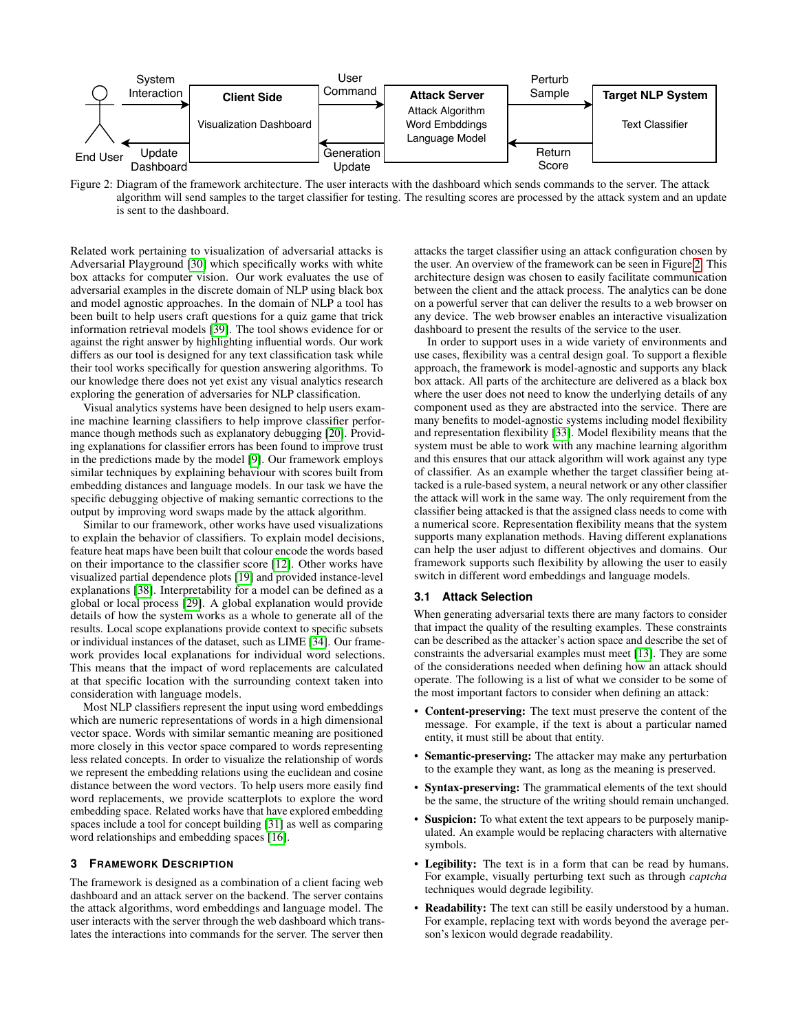<span id="page-2-1"></span>

Figure 2: Diagram of the framework architecture. The user interacts with the dashboard which sends commands to the server. The attack algorithm will send samples to the target classifier for testing. The resulting scores are processed by the attack system and an update is sent to the dashboard.

Related work pertaining to visualization of adversarial attacks is Adversarial Playground [\[30\]](#page-9-16) which specifically works with white box attacks for computer vision. Our work evaluates the use of adversarial examples in the discrete domain of NLP using black box and model agnostic approaches. In the domain of NLP a tool has been built to help users craft questions for a quiz game that trick information retrieval models [\[39\]](#page-9-17). The tool shows evidence for or against the right answer by highlighting influential words. Our work differs as our tool is designed for any text classification task while their tool works specifically for question answering algorithms. To our knowledge there does not yet exist any visual analytics research exploring the generation of adversaries for NLP classification.

Visual analytics systems have been designed to help users examine machine learning classifiers to help improve classifier performance though methods such as explanatory debugging [\[20\]](#page-9-18). Providing explanations for classifier errors has been found to improve trust in the predictions made by the model [\[9\]](#page-9-19). Our framework employs similar techniques by explaining behaviour with scores built from embedding distances and language models. In our task we have the specific debugging objective of making semantic corrections to the output by improving word swaps made by the attack algorithm.

Similar to our framework, other works have used visualizations to explain the behavior of classifiers. To explain model decisions, feature heat maps have been built that colour encode the words based on their importance to the classifier score [\[12\]](#page-9-11). Other works have visualized partial dependence plots [\[19\]](#page-9-20) and provided instance-level explanations [\[38\]](#page-9-21). Interpretability for a model can be defined as a global or local process [\[29\]](#page-9-22). A global explanation would provide details of how the system works as a whole to generate all of the results. Local scope explanations provide context to specific subsets or individual instances of the dataset, such as LIME [\[34\]](#page-9-23). Our framework provides local explanations for individual word selections. This means that the impact of word replacements are calculated at that specific location with the surrounding context taken into consideration with language models.

Most NLP classifiers represent the input using word embeddings which are numeric representations of words in a high dimensional vector space. Words with similar semantic meaning are positioned more closely in this vector space compared to words representing less related concepts. In order to visualize the relationship of words we represent the embedding relations using the euclidean and cosine distance between the word vectors. To help users more easily find word replacements, we provide scatterplots to explore the word embedding space. Related works have that have explored embedding spaces include a tool for concept building [\[31\]](#page-9-24) as well as comparing word relationships and embedding spaces [\[16\]](#page-9-25).

#### **3 FRAMEWORK DESCRIPTION**

The framework is designed as a combination of a client facing web dashboard and an attack server on the backend. The server contains the attack algorithms, word embeddings and language model. The user interacts with the server through the web dashboard which translates the interactions into commands for the server. The server then

attacks the target classifier using an attack configuration chosen by the user. An overview of the framework can be seen in Figure [2.](#page-2-1) This architecture design was chosen to easily facilitate communication between the client and the attack process. The analytics can be done on a powerful server that can deliver the results to a web browser on any device. The web browser enables an interactive visualization dashboard to present the results of the service to the user.

In order to support uses in a wide variety of environments and use cases, flexibility was a central design goal. To support a flexible approach, the framework is model-agnostic and supports any black box attack. All parts of the architecture are delivered as a black box where the user does not need to know the underlying details of any component used as they are abstracted into the service. There are many benefits to model-agnostic systems including model flexibility and representation flexibility [\[33\]](#page-9-26). Model flexibility means that the system must be able to work with any machine learning algorithm and this ensures that our attack algorithm will work against any type of classifier. As an example whether the target classifier being attacked is a rule-based system, a neural network or any other classifier the attack will work in the same way. The only requirement from the classifier being attacked is that the assigned class needs to come with a numerical score. Representation flexibility means that the system supports many explanation methods. Having different explanations can help the user adjust to different objectives and domains. Our framework supports such flexibility by allowing the user to easily switch in different word embeddings and language models.

#### <span id="page-2-0"></span>**3.1 Attack Selection**

When generating adversarial texts there are many factors to consider that impact the quality of the resulting examples. These constraints can be described as the attacker's action space and describe the set of constraints the adversarial examples must meet [\[13\]](#page-9-27). They are some of the considerations needed when defining how an attack should operate. The following is a list of what we consider to be some of the most important factors to consider when defining an attack:

- Content-preserving: The text must preserve the content of the message. For example, if the text is about a particular named entity, it must still be about that entity.
- Semantic-preserving: The attacker may make any perturbation to the example they want, as long as the meaning is preserved.
- Syntax-preserving: The grammatical elements of the text should be the same, the structure of the writing should remain unchanged.
- Suspicion: To what extent the text appears to be purposely manipulated. An example would be replacing characters with alternative symbols.
- Legibility: The text is in a form that can be read by humans. For example, visually perturbing text such as through *captcha* techniques would degrade legibility.
- Readability: The text can still be easily understood by a human. For example, replacing text with words beyond the average person's lexicon would degrade readability.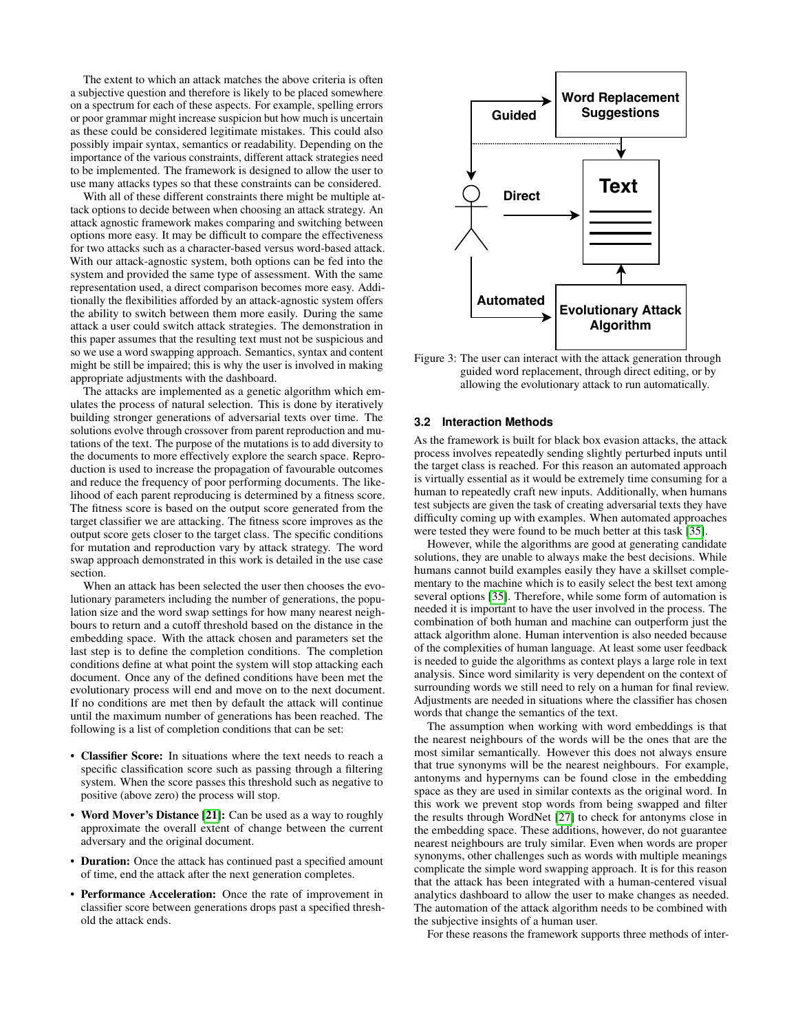The extent to which an attack matches the above criteria is often a subjective question and therefore is likely to be placed somewhere on a spectrum for each of these aspects. For example, spelling errors or poor grammar might increase suspicion but how much is uncertain as these could be considered legitimate mistakes. This could also possibly impair syntax, semantics or readability. Depending on the importance of the various constraints, different attack strategies need to be implemented. The framework is designed to allow the user to use many attacks types so that these constraints can be considered.

With all of these different constraints there might be multiple attack options to decide between when choosing an attack strategy. An attack agnostic framework makes comparing and switching between options more easy. It may be difficult to compare the effectiveness for two attacks such as a character-based versus word-based attack. With our attack-agnostic system, both options can be fed into the system and provided the same type of assessment. With the same representation used, a direct comparison becomes more easy. Additionally the flexibilities afforded by an attack-agnostic system offers the ability to switch between them more easily. During the same attack a user could switch attack strategies. The demonstration in this paper assumes that the resulting text must not be suspicious and so we use a word swapping approach. Semantics, syntax and content might be still be impaired; this is why the user is involved in making appropriate adjustments with the dashboard.

The attacks are implemented as a genetic algorithm which emulates the process of natural selection. This is done by iteratively building stronger generations of adversarial texts over time. The solutions evolve through crossover from parent reproduction and mutations of the text. The purpose of the mutations is to add diversity to the documents to more effectively explore the search space. Reproduction is used to increase the propagation of favourable outcomes and reduce the frequency of poor performing documents. The likelihood of each parent reproducing is determined by a fitness score. The fitness score is based on the output score generated from the target classifier we are attacking. The fitness score improves as the output score gets closer to the target class. The specific conditions for mutation and reproduction vary by attack strategy. The word swap approach demonstrated in this work is detailed in the use case section.

When an attack has been selected the user then chooses the evolutionary parameters including the number of generations, the population size and the word swap settings for how many nearest neighbours to return and a cutoff threshold based on the distance in the embedding space. With the attack chosen and parameters set the last step is to define the completion conditions. The completion conditions define at what point the system will stop attacking each document. Once any of the defined conditions have been met the evolutionary process will end and move on to the next document. If no conditions are met then by default the attack will continue until the maximum number of generations has been reached. The following is a list of completion conditions that can be set:

- Classifier Score: In situations where the text needs to reach a specific classification score such as passing through a filtering system. When the score passes this threshold such as negative to positive (above zero) the process will stop.
- Word Mover's Distance [\[21\]](#page-9-28): Can be used as a way to roughly approximate the overall extent of change between the current adversary and the original document.
- Duration: Once the attack has continued past a specified amount of time, end the attack after the next generation completes.
- Performance Acceleration: Once the rate of improvement in classifier score between generations drops past a specified threshold the attack ends.

<span id="page-3-0"></span>

Figure 3: The user can interact with the attack generation through guided word replacement, through direct editing, or by allowing the evolutionary attack to run automatically.

#### **3.2 Interaction Methods**

As the framework is built for black box evasion attacks, the attack process involves repeatedly sending slightly perturbed inputs until the target class is reached. For this reason an automated approach is virtually essential as it would be extremely time consuming for a human to repeatedly craft new inputs. Additionally, when humans test subjects are given the task of creating adversarial texts they have difficulty coming up with examples. When automated approaches were tested they were found to be much better at this task [\[35\]](#page-9-14).

However, while the algorithms are good at generating candidate solutions, they are unable to always make the best decisions. While humans cannot build examples easily they have a skillset complementary to the machine which is to easily select the best text among several options [\[35\]](#page-9-14). Therefore, while some form of automation is needed it is important to have the user involved in the process. The combination of both human and machine can outperform just the attack algorithm alone. Human intervention is also needed because of the complexities of human language. At least some user feedback is needed to guide the algorithms as context plays a large role in text analysis. Since word similarity is very dependent on the context of surrounding words we still need to rely on a human for final review. Adjustments are needed in situations where the classifier has chosen words that change the semantics of the text.

The assumption when working with word embeddings is that the nearest neighbours of the words will be the ones that are the most similar semantically. However this does not always ensure that true synonyms will be the nearest neighbours. For example, antonyms and hypernyms can be found close in the embedding space as they are used in similar contexts as the original word. In this work we prevent stop words from being swapped and filter the results through WordNet [\[27\]](#page-9-29) to check for antonyms close in the embedding space. These additions, however, do not guarantee nearest neighbours are truly similar. Even when words are proper synonyms, other challenges such as words with multiple meanings complicate the simple word swapping approach. It is for this reason that the attack has been integrated with a human-centered visual analytics dashboard to allow the user to make changes as needed. The automation of the attack algorithm needs to be combined with the subjective insights of a human user.

For these reasons the framework supports three methods of inter-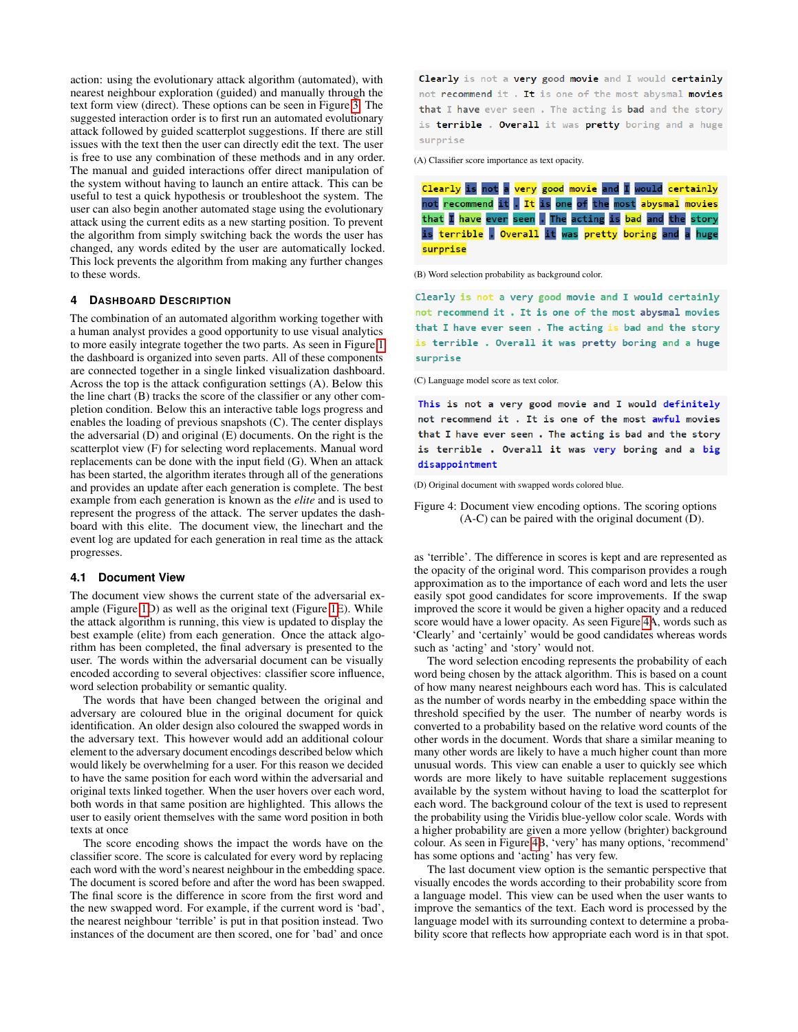action: using the evolutionary attack algorithm (automated), with nearest neighbour exploration (guided) and manually through the text form view (direct). These options can be seen in Figure [3.](#page-3-0) The suggested interaction order is to first run an automated evolutionary attack followed by guided scatterplot suggestions. If there are still issues with the text then the user can directly edit the text. The user is free to use any combination of these methods and in any order. The manual and guided interactions offer direct manipulation of the system without having to launch an entire attack. This can be useful to test a quick hypothesis or troubleshoot the system. The user can also begin another automated stage using the evolutionary attack using the current edits as a new starting position. To prevent the algorithm from simply switching back the words the user has changed, any words edited by the user are automatically locked. This lock prevents the algorithm from making any further changes to these words.

## **4 DASHBOARD DESCRIPTION**

The combination of an automated algorithm working together with a human analyst provides a good opportunity to use visual analytics to more easily integrate together the two parts. As seen in Figure [1](#page-0-0) the dashboard is organized into seven parts. All of these components are connected together in a single linked visualization dashboard. Across the top is the attack configuration settings (A). Below this the line chart (B) tracks the score of the classifier or any other completion condition. Below this an interactive table logs progress and enables the loading of previous snapshots (C). The center displays the adversarial (D) and original (E) documents. On the right is the scatterplot view (F) for selecting word replacements. Manual word replacements can be done with the input field (G). When an attack has been started, the algorithm iterates through all of the generations and provides an update after each generation is complete. The best example from each generation is known as the *elite* and is used to represent the progress of the attack. The server updates the dashboard with this elite. The document view, the linechart and the event log are updated for each generation in real time as the attack progresses.

#### **4.1 Document View**

The document view shows the current state of the adversarial example (Figure [1D](#page-0-0)) as well as the original text (Figure [1E](#page-0-0)). While the attack algorithm is running, this view is updated to display the best example (elite) from each generation. Once the attack algorithm has been completed, the final adversary is presented to the user. The words within the adversarial document can be visually encoded according to several objectives: classifier score influence, word selection probability or semantic quality.

The words that have been changed between the original and adversary are coloured blue in the original document for quick identification. An older design also coloured the swapped words in the adversary text. This however would add an additional colour element to the adversary document encodings described below which would likely be overwhelming for a user. For this reason we decided to have the same position for each word within the adversarial and original texts linked together. When the user hovers over each word, both words in that same position are highlighted. This allows the user to easily orient themselves with the same word position in both texts at once

The score encoding shows the impact the words have on the classifier score. The score is calculated for every word by replacing each word with the word's nearest neighbour in the embedding space. The document is scored before and after the word has been swapped. The final score is the difference in score from the first word and the new swapped word. For example, if the current word is 'bad', the nearest neighbour 'terrible' is put in that position instead. Two instances of the document are then scored, one for 'bad' and once

<span id="page-4-0"></span>Clearly is not a very good movie and I would certainly not recommend it. It is one of the most abysmal movies that I have ever seen . The acting is bad and the story is terrible . Overall it was pretty boring and a huge surprise

(A) Classifier score importance as text opacity.

Clearly is not a very good movie and I would certainly not recommend it . It is one of the most abysmal movies that I have ever seen . The acting is bad and the story is terrible . Overall it was pretty boring and a huge surprise

(B) Word selection probability as background color.

Clearly is not a very good movie and I would certainly not recommend it. It is one of the most abysmal movies that I have ever seen. The acting is bad and the story is terrible . Overall it was pretty boring and a huge surprise

(C) Language model score as text color.

This is not a very good movie and I would definitely not recommend it . It is one of the most awful movies that I have ever seen . The acting is bad and the story is terrible . Overall it was very boring and a big disappointment

(D) Original document with swapped words colored blue.

Figure 4: Document view encoding options. The scoring options (A-C) can be paired with the original document (D).

as 'terrible'. The difference in scores is kept and are represented as the opacity of the original word. This comparison provides a rough approximation as to the importance of each word and lets the user easily spot good candidates for score improvements. If the swap improved the score it would be given a higher opacity and a reduced score would have a lower opacity. As seen Figure [4A](#page-4-0), words such as 'Clearly' and 'certainly' would be good candidates whereas words such as 'acting' and 'story' would not.

The word selection encoding represents the probability of each word being chosen by the attack algorithm. This is based on a count of how many nearest neighbours each word has. This is calculated as the number of words nearby in the embedding space within the threshold specified by the user. The number of nearby words is converted to a probability based on the relative word counts of the other words in the document. Words that share a similar meaning to many other words are likely to have a much higher count than more unusual words. This view can enable a user to quickly see which words are more likely to have suitable replacement suggestions available by the system without having to load the scatterplot for each word. The background colour of the text is used to represent the probability using the Viridis blue-yellow color scale. Words with a higher probability are given a more yellow (brighter) background colour. As seen in Figure [4B](#page-4-0), 'very' has many options, 'recommend' has some options and 'acting' has very few.

The last document view option is the semantic perspective that visually encodes the words according to their probability score from a language model. This view can be used when the user wants to improve the semantics of the text. Each word is processed by the language model with its surrounding context to determine a probability score that reflects how appropriate each word is in that spot.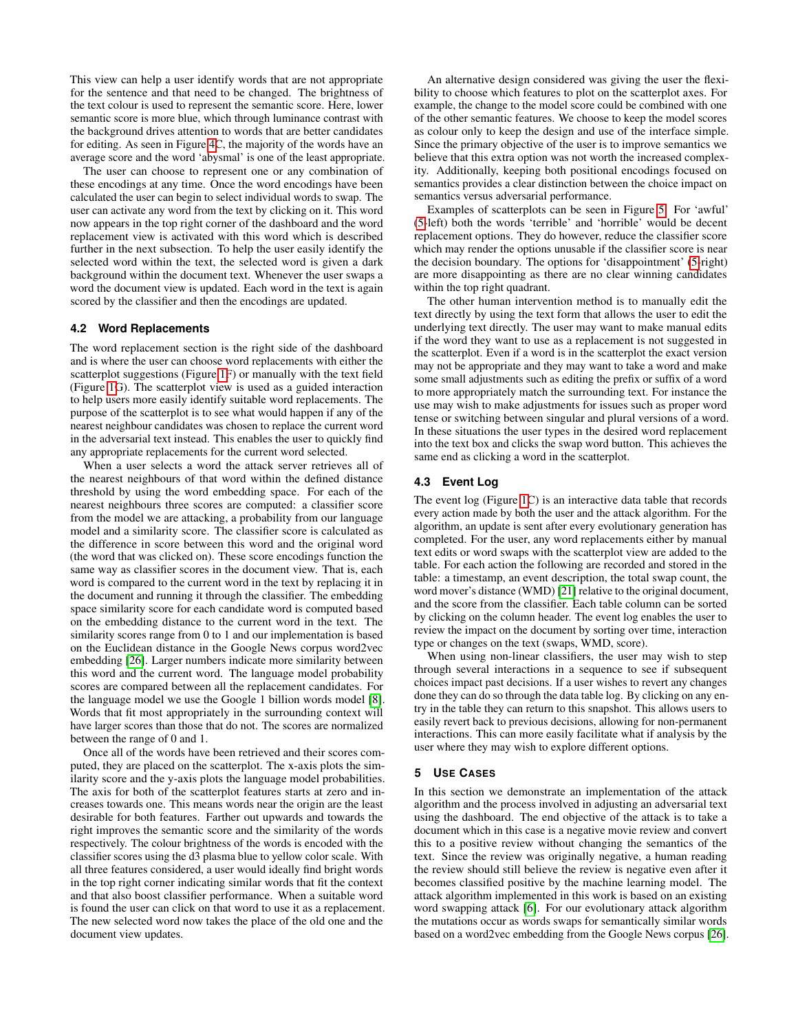This view can help a user identify words that are not appropriate for the sentence and that need to be changed. The brightness of the text colour is used to represent the semantic score. Here, lower semantic score is more blue, which through luminance contrast with the background drives attention to words that are better candidates for editing. As seen in Figure [4C](#page-4-0), the majority of the words have an average score and the word 'abysmal' is one of the least appropriate.

The user can choose to represent one or any combination of these encodings at any time. Once the word encodings have been calculated the user can begin to select individual words to swap. The user can activate any word from the text by clicking on it. This word now appears in the top right corner of the dashboard and the word replacement view is activated with this word which is described further in the next subsection. To help the user easily identify the selected word within the text, the selected word is given a dark background within the document text. Whenever the user swaps a word the document view is updated. Each word in the text is again scored by the classifier and then the encodings are updated.

## <span id="page-5-0"></span>**4.2 Word Replacements**

The word replacement section is the right side of the dashboard and is where the user can choose word replacements with either the scatterplot suggestions (Figure [1F](#page-0-0)) or manually with the text field (Figure [1G](#page-0-0)). The scatterplot view is used as a guided interaction to help users more easily identify suitable word replacements. The purpose of the scatterplot is to see what would happen if any of the nearest neighbour candidates was chosen to replace the current word in the adversarial text instead. This enables the user to quickly find any appropriate replacements for the current word selected.

When a user selects a word the attack server retrieves all of the nearest neighbours of that word within the defined distance threshold by using the word embedding space. For each of the nearest neighbours three scores are computed: a classifier score from the model we are attacking, a probability from our language model and a similarity score. The classifier score is calculated as the difference in score between this word and the original word (the word that was clicked on). These score encodings function the same way as classifier scores in the document view. That is, each word is compared to the current word in the text by replacing it in the document and running it through the classifier. The embedding space similarity score for each candidate word is computed based on the embedding distance to the current word in the text. The similarity scores range from 0 to 1 and our implementation is based on the Euclidean distance in the Google News corpus word2vec embedding [\[26\]](#page-9-30). Larger numbers indicate more similarity between this word and the current word. The language model probability scores are compared between all the replacement candidates. For the language model we use the Google 1 billion words model [\[8\]](#page-9-31). Words that fit most appropriately in the surrounding context will have larger scores than those that do not. The scores are normalized between the range of 0 and 1.

Once all of the words have been retrieved and their scores computed, they are placed on the scatterplot. The x-axis plots the similarity score and the y-axis plots the language model probabilities. The axis for both of the scatterplot features starts at zero and increases towards one. This means words near the origin are the least desirable for both features. Farther out upwards and towards the right improves the semantic score and the similarity of the words respectively. The colour brightness of the words is encoded with the classifier scores using the d3 plasma blue to yellow color scale. With all three features considered, a user would ideally find bright words in the top right corner indicating similar words that fit the context and that also boost classifier performance. When a suitable word is found the user can click on that word to use it as a replacement. The new selected word now takes the place of the old one and the document view updates.

An alternative design considered was giving the user the flexibility to choose which features to plot on the scatterplot axes. For example, the change to the model score could be combined with one of the other semantic features. We choose to keep the model scores as colour only to keep the design and use of the interface simple. Since the primary objective of the user is to improve semantics we believe that this extra option was not worth the increased complexity. Additionally, keeping both positional encodings focused on semantics provides a clear distinction between the choice impact on semantics versus adversarial performance.

Examples of scatterplots can be seen in Figure [5.](#page-6-0) For 'awful' [\(5-](#page-6-0)left) both the words 'terrible' and 'horrible' would be decent replacement options. They do however, reduce the classifier score which may render the options unusable if the classifier score is near the decision boundary. The options for 'disappointment' [\(5-](#page-6-0)right) are more disappointing as there are no clear winning candidates within the top right quadrant.

The other human intervention method is to manually edit the text directly by using the text form that allows the user to edit the underlying text directly. The user may want to make manual edits if the word they want to use as a replacement is not suggested in the scatterplot. Even if a word is in the scatterplot the exact version may not be appropriate and they may want to take a word and make some small adjustments such as editing the prefix or suffix of a word to more appropriately match the surrounding text. For instance the use may wish to make adjustments for issues such as proper word tense or switching between singular and plural versions of a word. In these situations the user types in the desired word replacement into the text box and clicks the swap word button. This achieves the same end as clicking a word in the scatterplot.

## **4.3 Event Log**

The event log (Figure [1C](#page-0-0)) is an interactive data table that records every action made by both the user and the attack algorithm. For the algorithm, an update is sent after every evolutionary generation has completed. For the user, any word replacements either by manual text edits or word swaps with the scatterplot view are added to the table. For each action the following are recorded and stored in the table: a timestamp, an event description, the total swap count, the word mover's distance (WMD) [\[21\]](#page-9-28) relative to the original document, and the score from the classifier. Each table column can be sorted by clicking on the column header. The event log enables the user to review the impact on the document by sorting over time, interaction type or changes on the text (swaps, WMD, score).

When using non-linear classifiers, the user may wish to step through several interactions in a sequence to see if subsequent choices impact past decisions. If a user wishes to revert any changes done they can do so through the data table log. By clicking on any entry in the table they can return to this snapshot. This allows users to easily revert back to previous decisions, allowing for non-permanent interactions. This can more easily facilitate what if analysis by the user where they may wish to explore different options.

#### **5 USE CASES**

In this section we demonstrate an implementation of the attack algorithm and the process involved in adjusting an adversarial text using the dashboard. The end objective of the attack is to take a document which in this case is a negative movie review and convert this to a positive review without changing the semantics of the text. Since the review was originally negative, a human reading the review should still believe the review is negative even after it becomes classified positive by the machine learning model. The attack algorithm implemented in this work is based on an existing word swapping attack [\[6\]](#page-9-6). For our evolutionary attack algorithm the mutations occur as words swaps for semantically similar words based on a word2vec embedding from the Google News corpus [\[26\]](#page-9-30).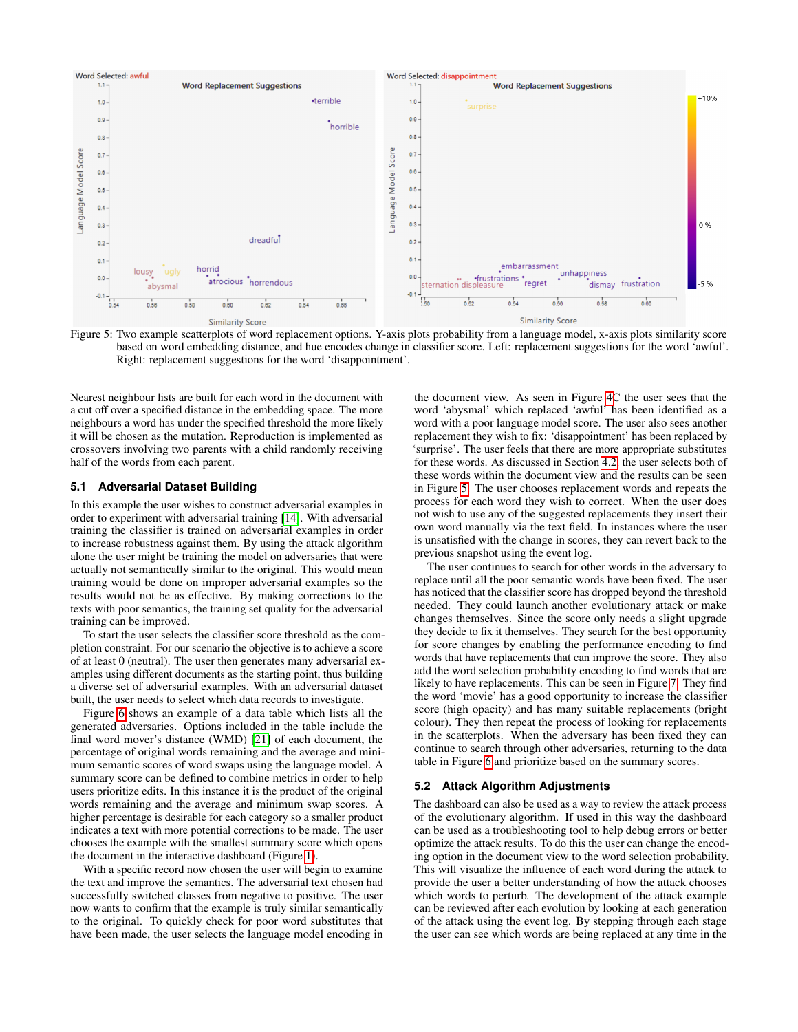<span id="page-6-0"></span>

Figure 5: Two example scatterplots of word replacement options. Y-axis plots probability from a language model, x-axis plots similarity score based on word embedding distance, and hue encodes change in classifier score. Left: replacement suggestions for the word 'awful'. Right: replacement suggestions for the word 'disappointment'.

Nearest neighbour lists are built for each word in the document with a cut off over a specified distance in the embedding space. The more neighbours a word has under the specified threshold the more likely it will be chosen as the mutation. Reproduction is implemented as crossovers involving two parents with a child randomly receiving half of the words from each parent.

#### **5.1 Adversarial Dataset Building**

In this example the user wishes to construct adversarial examples in order to experiment with adversarial training [\[14\]](#page-9-10). With adversarial training the classifier is trained on adversarial examples in order to increase robustness against them. By using the attack algorithm alone the user might be training the model on adversaries that were actually not semantically similar to the original. This would mean training would be done on improper adversarial examples so the results would not be as effective. By making corrections to the texts with poor semantics, the training set quality for the adversarial training can be improved.

To start the user selects the classifier score threshold as the completion constraint. For our scenario the objective is to achieve a score of at least 0 (neutral). The user then generates many adversarial examples using different documents as the starting point, thus building a diverse set of adversarial examples. With an adversarial dataset built, the user needs to select which data records to investigate.

Figure [6](#page-7-0) shows an example of a data table which lists all the generated adversaries. Options included in the table include the final word mover's distance (WMD) [\[21\]](#page-9-28) of each document, the percentage of original words remaining and the average and minimum semantic scores of word swaps using the language model. A summary score can be defined to combine metrics in order to help users prioritize edits. In this instance it is the product of the original words remaining and the average and minimum swap scores. A higher percentage is desirable for each category so a smaller product indicates a text with more potential corrections to be made. The user chooses the example with the smallest summary score which opens the document in the interactive dashboard (Figure [1\)](#page-0-0).

With a specific record now chosen the user will begin to examine the text and improve the semantics. The adversarial text chosen had successfully switched classes from negative to positive. The user now wants to confirm that the example is truly similar semantically to the original. To quickly check for poor word substitutes that have been made, the user selects the language model encoding in

the document view. As seen in Figure [4C](#page-4-0) the user sees that the word 'abysmal' which replaced 'awful' has been identified as a word with a poor language model score. The user also sees another replacement they wish to fix: 'disappointment' has been replaced by 'surprise'. The user feels that there are more appropriate substitutes for these words. As discussed in Section [4.2,](#page-5-0) the user selects both of these words within the document view and the results can be seen in Figure [5.](#page-6-0) The user chooses replacement words and repeats the process for each word they wish to correct. When the user does not wish to use any of the suggested replacements they insert their own word manually via the text field. In instances where the user is unsatisfied with the change in scores, they can revert back to the previous snapshot using the event log.

The user continues to search for other words in the adversary to replace until all the poor semantic words have been fixed. The user has noticed that the classifier score has dropped beyond the threshold needed. They could launch another evolutionary attack or make changes themselves. Since the score only needs a slight upgrade they decide to fix it themselves. They search for the best opportunity for score changes by enabling the performance encoding to find words that have replacements that can improve the score. They also add the word selection probability encoding to find words that are likely to have replacements. This can be seen in Figure [7.](#page-7-1) They find the word 'movie' has a good opportunity to increase the classifier score (high opacity) and has many suitable replacements (bright colour). They then repeat the process of looking for replacements in the scatterplots. When the adversary has been fixed they can continue to search through other adversaries, returning to the data table in Figure [6](#page-7-0) and prioritize based on the summary scores.

#### **5.2 Attack Algorithm Adjustments**

The dashboard can also be used as a way to review the attack process of the evolutionary algorithm. If used in this way the dashboard can be used as a troubleshooting tool to help debug errors or better optimize the attack results. To do this the user can change the encoding option in the document view to the word selection probability. This will visualize the influence of each word during the attack to provide the user a better understanding of how the attack chooses which words to perturb. The development of the attack example can be reviewed after each evolution by looking at each generation of the attack using the event log. By stepping through each stage the user can see which words are being replaced at any time in the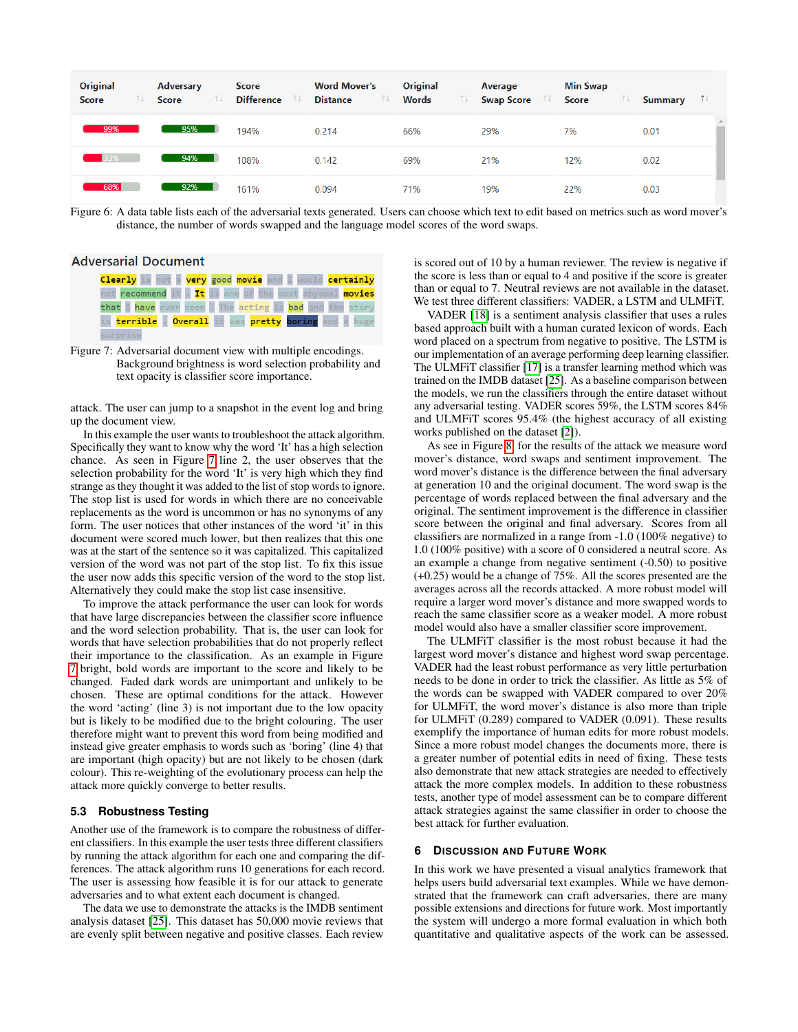<span id="page-7-0"></span>

| Original<br><b>Score</b> | îŧ. | <b>Adversary</b><br><b>Score</b> | îl | <b>Score</b><br><b>Difference</b><br>-T-L | <b>Word Mover's</b><br><b>Distance</b><br>T I | Original<br>Words<br>TJ. | Average<br>IT L<br><b>Swap Score</b> | <b>Min Swap</b><br>Λļ<br><b>Score</b> | $\uparrow \downarrow$<br><b>Summary</b> |
|--------------------------|-----|----------------------------------|----|-------------------------------------------|-----------------------------------------------|--------------------------|--------------------------------------|---------------------------------------|-----------------------------------------|
| 99%                      |     | 95%                              |    | 194%                                      | 0.214                                         | 66%                      | 29%                                  | 7%                                    | 0.01                                    |
| 33%                      |     | 94%                              |    | 108%                                      | 0.142                                         | 69%                      | 21%                                  | 12%                                   | 0.02                                    |
| 68%                      |     | 92%                              |    | 161%                                      | 0.094                                         | 71%                      | 19%                                  | 22%                                   | 0.03                                    |

Figure 6: A data table lists each of the adversarial texts generated. Users can choose which text to edit based on metrics such as word mover's distance, the number of words swapped and the language model scores of the word swaps.

## <span id="page-7-1"></span>**Adversarial Document**

| <b>Clearly</b> is not a very good movie and I would certainly |
|---------------------------------------------------------------|
| not recommend it. It is one of the most abysmal movies        |
| that I have ever seen . The acting is bad and the story       |
| is terrible . Overall it was pretty boring and a huge         |
| surprise                                                      |

Figure 7: Adversarial document view with multiple encodings. Background brightness is word selection probability and text opacity is classifier score importance.

attack. The user can jump to a snapshot in the event log and bring up the document view.

In this example the user wants to troubleshoot the attack algorithm. Specifically they want to know why the word 'It' has a high selection chance. As seen in Figure [7](#page-7-1) line 2, the user observes that the selection probability for the word 'It' is very high which they find strange as they thought it was added to the list of stop words to ignore. The stop list is used for words in which there are no conceivable replacements as the word is uncommon or has no synonyms of any form. The user notices that other instances of the word 'it' in this document were scored much lower, but then realizes that this one was at the start of the sentence so it was capitalized. This capitalized version of the word was not part of the stop list. To fix this issue the user now adds this specific version of the word to the stop list. Alternatively they could make the stop list case insensitive.

To improve the attack performance the user can look for words that have large discrepancies between the classifier score influence and the word selection probability. That is, the user can look for words that have selection probabilities that do not properly reflect their importance to the classification. As an example in Figure [7](#page-7-1) bright, bold words are important to the score and likely to be changed. Faded dark words are unimportant and unlikely to be chosen. These are optimal conditions for the attack. However the word 'acting' (line 3) is not important due to the low opacity but is likely to be modified due to the bright colouring. The user therefore might want to prevent this word from being modified and instead give greater emphasis to words such as 'boring' (line 4) that are important (high opacity) but are not likely to be chosen (dark colour). This re-weighting of the evolutionary process can help the attack more quickly converge to better results.

## **5.3 Robustness Testing**

Another use of the framework is to compare the robustness of different classifiers. In this example the user tests three different classifiers by running the attack algorithm for each one and comparing the differences. The attack algorithm runs 10 generations for each record. The user is assessing how feasible it is for our attack to generate adversaries and to what extent each document is changed.

The data we use to demonstrate the attacks is the IMDB sentiment analysis dataset [\[25\]](#page-9-32). This dataset has 50,000 movie reviews that are evenly split between negative and positive classes. Each review

is scored out of 10 by a human reviewer. The review is negative if the score is less than or equal to 4 and positive if the score is greater than or equal to 7. Neutral reviews are not available in the dataset. We test three different classifiers: VADER, a LSTM and ULMFiT.

VADER [\[18\]](#page-9-33) is a sentiment analysis classifier that uses a rules based approach built with a human curated lexicon of words. Each word placed on a spectrum from negative to positive. The LSTM is our implementation of an average performing deep learning classifier. The ULMFiT classifier [\[17\]](#page-9-34) is a transfer learning method which was trained on the IMDB dataset [\[25\]](#page-9-32). As a baseline comparison between the models, we run the classifiers through the entire dataset without any adversarial testing. VADER scores 59%, the LSTM scores 84% and ULMFiT scores 95.4% (the highest accuracy of all existing works published on the dataset [\[2\]](#page-9-1)).

As see in Figure [8,](#page-8-0) for the results of the attack we measure word mover's distance, word swaps and sentiment improvement. The word mover's distance is the difference between the final adversary at generation 10 and the original document. The word swap is the percentage of words replaced between the final adversary and the original. The sentiment improvement is the difference in classifier score between the original and final adversary. Scores from all classifiers are normalized in a range from -1.0 (100% negative) to 1.0 (100% positive) with a score of 0 considered a neutral score. As an example a change from negative sentiment (-0.50) to positive (+0.25) would be a change of 75%. All the scores presented are the averages across all the records attacked. A more robust model will require a larger word mover's distance and more swapped words to reach the same classifier score as a weaker model. A more robust model would also have a smaller classifier score improvement.

The ULMFiT classifier is the most robust because it had the largest word mover's distance and highest word swap percentage. VADER had the least robust performance as very little perturbation needs to be done in order to trick the classifier. As little as 5% of the words can be swapped with VADER compared to over 20% for ULMFiT, the word mover's distance is also more than triple for ULMFiT (0.289) compared to VADER (0.091). These results exemplify the importance of human edits for more robust models. Since a more robust model changes the documents more, there is a greater number of potential edits in need of fixing. These tests also demonstrate that new attack strategies are needed to effectively attack the more complex models. In addition to these robustness tests, another type of model assessment can be to compare different attack strategies against the same classifier in order to choose the best attack for further evaluation.

#### **6 DISCUSSION AND FUTURE WORK**

In this work we have presented a visual analytics framework that helps users build adversarial text examples. While we have demonstrated that the framework can craft adversaries, there are many possible extensions and directions for future work. Most importantly the system will undergo a more formal evaluation in which both quantitative and qualitative aspects of the work can be assessed.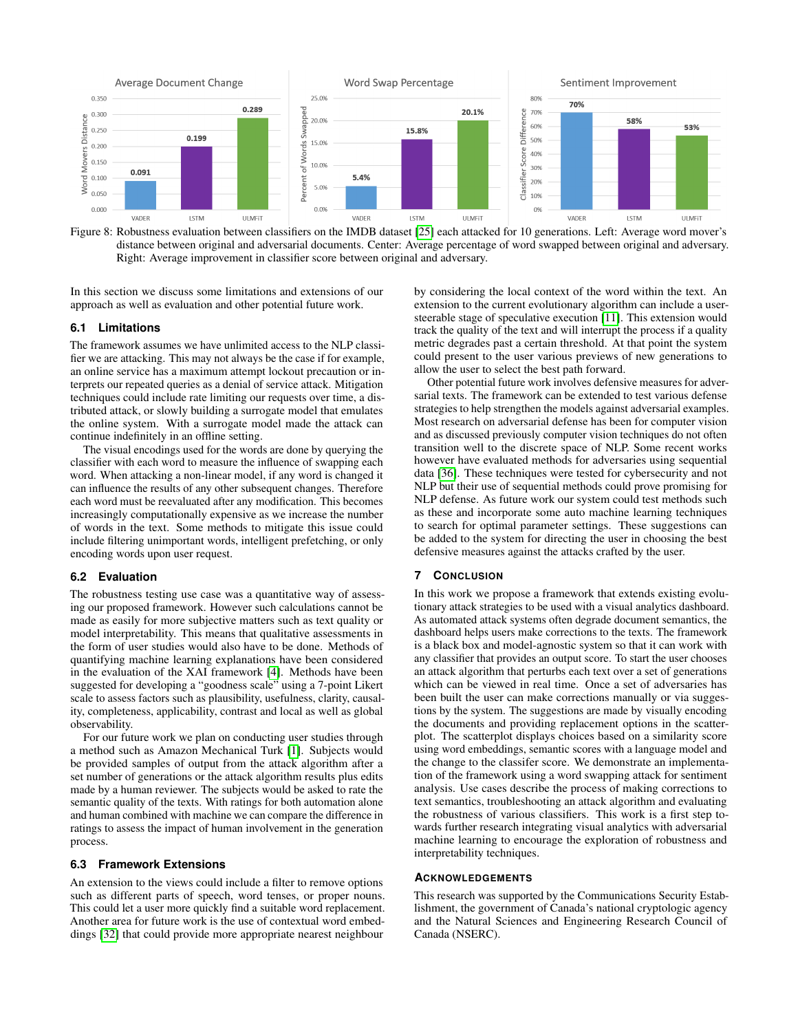<span id="page-8-0"></span>

Figure 8: Robustness evaluation between classifiers on the IMDB dataset [\[25\]](#page-9-32) each attacked for 10 generations. Left: Average word mover's distance between original and adversarial documents. Center: Average percentage of word swapped between original and adversary. Right: Average improvement in classifier score between original and adversary.

In this section we discuss some limitations and extensions of our approach as well as evaluation and other potential future work.

#### **6.1 Limitations**

The framework assumes we have unlimited access to the NLP classifier we are attacking. This may not always be the case if for example, an online service has a maximum attempt lockout precaution or interprets our repeated queries as a denial of service attack. Mitigation techniques could include rate limiting our requests over time, a distributed attack, or slowly building a surrogate model that emulates the online system. With a surrogate model made the attack can continue indefinitely in an offline setting.

The visual encodings used for the words are done by querying the classifier with each word to measure the influence of swapping each word. When attacking a non-linear model, if any word is changed it can influence the results of any other subsequent changes. Therefore each word must be reevaluated after any modification. This becomes increasingly computationally expensive as we increase the number of words in the text. Some methods to mitigate this issue could include filtering unimportant words, intelligent prefetching, or only encoding words upon user request.

## **6.2 Evaluation**

The robustness testing use case was a quantitative way of assessing our proposed framework. However such calculations cannot be made as easily for more subjective matters such as text quality or model interpretability. This means that qualitative assessments in the form of user studies would also have to be done. Methods of quantifying machine learning explanations have been considered in the evaluation of the XAI framework [\[4\]](#page-9-35). Methods have been suggested for developing a "goodness scale" using a 7-point Likert scale to assess factors such as plausibility, usefulness, clarity, causality, completeness, applicability, contrast and local as well as global observability.

For our future work we plan on conducting user studies through a method such as Amazon Mechanical Turk [\[1\]](#page-9-36). Subjects would be provided samples of output from the attack algorithm after a set number of generations or the attack algorithm results plus edits made by a human reviewer. The subjects would be asked to rate the semantic quality of the texts. With ratings for both automation alone and human combined with machine we can compare the difference in ratings to assess the impact of human involvement in the generation process.

## **6.3 Framework Extensions**

An extension to the views could include a filter to remove options such as different parts of speech, word tenses, or proper nouns. This could let a user more quickly find a suitable word replacement. Another area for future work is the use of contextual word embeddings [\[32\]](#page-9-37) that could provide more appropriate nearest neighbour

by considering the local context of the word within the text. An extension to the current evolutionary algorithm can include a usersteerable stage of speculative execution [\[11\]](#page-9-38). This extension would track the quality of the text and will interrupt the process if a quality metric degrades past a certain threshold. At that point the system could present to the user various previews of new generations to allow the user to select the best path forward.

Other potential future work involves defensive measures for adversarial texts. The framework can be extended to test various defense strategies to help strengthen the models against adversarial examples. Most research on adversarial defense has been for computer vision and as discussed previously computer vision techniques do not often transition well to the discrete space of NLP. Some recent works however have evaluated methods for adversaries using sequential data [\[36\]](#page-9-39). These techniques were tested for cybersecurity and not NLP but their use of sequential methods could prove promising for NLP defense. As future work our system could test methods such as these and incorporate some auto machine learning techniques to search for optimal parameter settings. These suggestions can be added to the system for directing the user in choosing the best defensive measures against the attacks crafted by the user.

#### **7 CONCLUSION**

In this work we propose a framework that extends existing evolutionary attack strategies to be used with a visual analytics dashboard. As automated attack systems often degrade document semantics, the dashboard helps users make corrections to the texts. The framework is a black box and model-agnostic system so that it can work with any classifier that provides an output score. To start the user chooses an attack algorithm that perturbs each text over a set of generations which can be viewed in real time. Once a set of adversaries has been built the user can make corrections manually or via suggestions by the system. The suggestions are made by visually encoding the documents and providing replacement options in the scatterplot. The scatterplot displays choices based on a similarity score using word embeddings, semantic scores with a language model and the change to the classifer score. We demonstrate an implementation of the framework using a word swapping attack for sentiment analysis. Use cases describe the process of making corrections to text semantics, troubleshooting an attack algorithm and evaluating the robustness of various classifiers. This work is a first step towards further research integrating visual analytics with adversarial machine learning to encourage the exploration of robustness and interpretability techniques.

#### **ACKNOWLEDGEMENTS**

This research was supported by the Communications Security Establishment, the government of Canada's national cryptologic agency and the Natural Sciences and Engineering Research Council of Canada (NSERC).